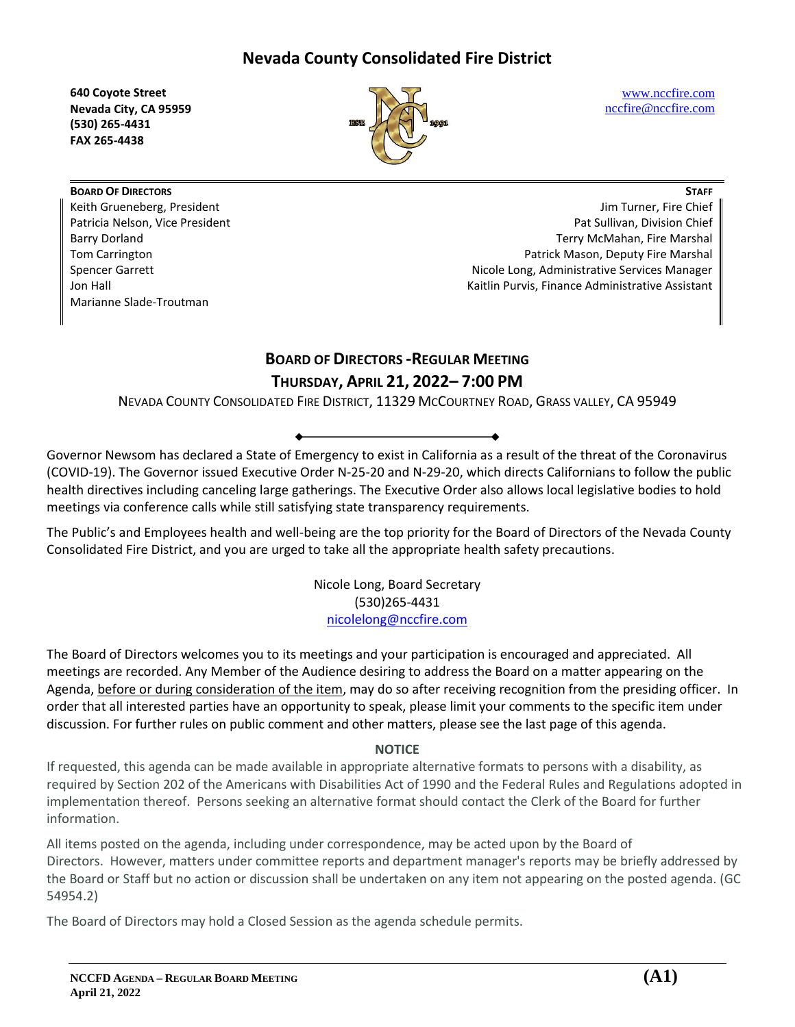**640 Coyote Street Nevada City, CA 95959 (530) 265-4431 FAX 265-4438**



[www.nccfire.com](http://www.nccfire.com/) [nccfire@nccfire.com](mailto:nccfire@nccfire.com)

**BOARD OF DIRECTORS** Keith Grueneberg, President Patricia Nelson, Vice President Barry Dorland Tom Carrington Spencer Garrett Jon Hall Marianne Slade-Troutman

**STAFF** Jim Turner, Fire Chief Pat Sullivan, Division Chief Terry McMahan, Fire Marshal Patrick Mason, Deputy Fire Marshal Nicole Long, Administrative Services Manager Kaitlin Purvis, Finance Administrative Assistant

# **BOARD OF DIRECTORS -REGULAR MEETING THURSDAY, APRIL 21, 2022– 7:00 PM**

NEVADA COUNTY CONSOLIDATED FIRE DISTRICT, 11329 MCCOURTNEY ROAD, GRASS VALLEY, CA 95949

Governor Newsom has declared a State of Emergency to exist in California as a result of the threat of the Coronavirus (COVID-19). The Governor issued Executive Order N-25-20 and N-29-20, which directs Californians to follow the public health directives including canceling large gatherings. The Executive Order also allows local legislative bodies to hold meetings via conference calls while still satisfying state transparency requirements.

The Public's and Employees health and well-being are the top priority for the Board of Directors of the Nevada County Consolidated Fire District, and you are urged to take all the appropriate health safety precautions.

> Nicole Long, Board Secretary (530)265-4431 [nicolelong@nccfire.com](mailto:nicolelong@nccfire.com)

The Board of Directors welcomes you to its meetings and your participation is encouraged and appreciated. All meetings are recorded. Any Member of the Audience desiring to address the Board on a matter appearing on the Agenda, before or during consideration of the item, may do so after receiving recognition from the presiding officer. In order that all interested parties have an opportunity to speak, please limit your comments to the specific item under discussion. For further rules on public comment and other matters, please see the last page of this agenda.

## **NOTICE**

If requested, this agenda can be made available in appropriate alternative formats to persons with a disability, as required by Section 202 of the Americans with Disabilities Act of 1990 and the Federal Rules and Regulations adopted in implementation thereof. Persons seeking an alternative format should contact the Clerk of the Board for further information.

All items posted on the agenda, including under correspondence, may be acted upon by the Board of Directors. However, matters under committee reports and department manager's reports may be briefly addressed by the Board or Staff but no action or discussion shall be undertaken on any item not appearing on the posted agenda. (GC 54954.2)

The Board of Directors may hold a Closed Session as the agenda schedule permits.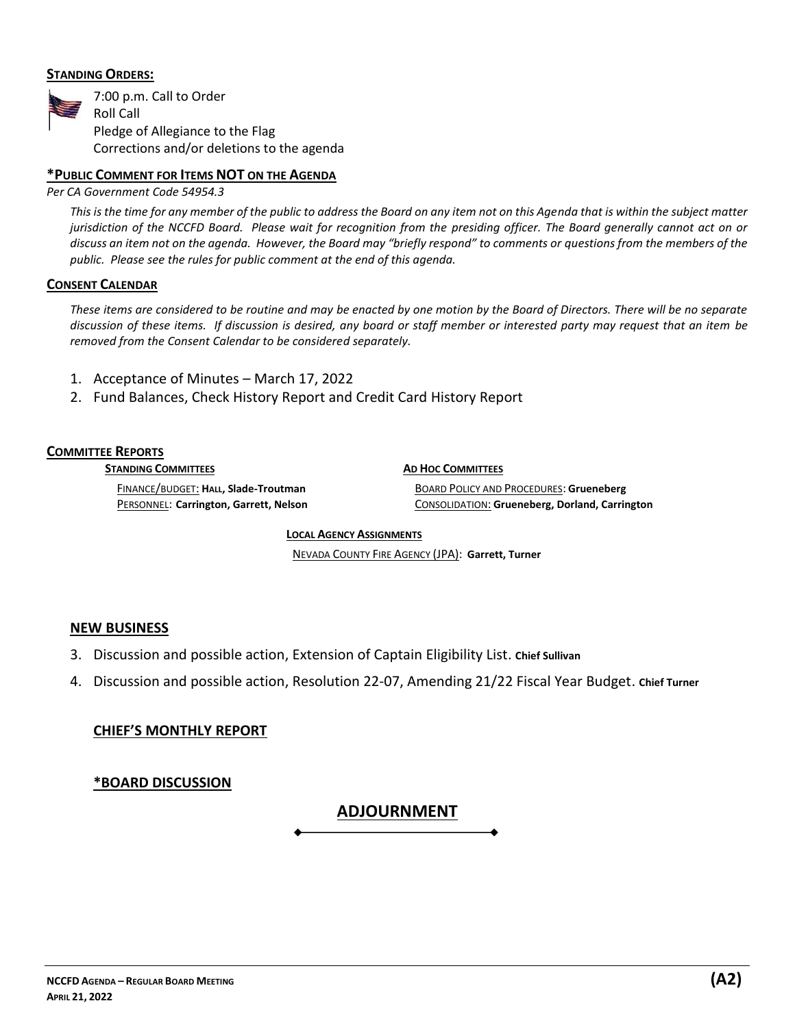## **STANDING ORDERS:**



## **\*PUBLIC COMMENT FOR ITEMS NOT ON THE AGENDA**

*Per CA Government Code 54954.3*

*This is the time for any member of the public to address the Board on any item not on this Agenda that is within the subject matter jurisdiction of the NCCFD Board. Please wait for recognition from the presiding officer. The Board generally cannot act on or discuss an item not on the agenda. However, the Board may "briefly respond" to comments or questions from the members of the public. Please see the rules for public comment at the end of this agenda.*

#### **CONSENT CALENDAR**

*These items are considered to be routine and may be enacted by one motion by the Board of Directors. There will be no separate discussion of these items. If discussion is desired, any board or staff member or interested party may request that an item be removed from the Consent Calendar to be considered separately.* 

- 1. Acceptance of Minutes March 17, 2022
- 2. Fund Balances, Check History Report and Credit Card History Report

#### **COMMITTEE REPORTS**

**STANDING COMMITTEES**

**AD HOC COMMITTEES**

FINANCE/BUDGET: **HALL, Slade-Troutman**  PERSONNEL: **Carrington, Garrett, Nelson**

BOARD POLICY AND PROCEDURES: **Grueneberg** CONSOLIDATION: **Grueneberg, Dorland, Carrington**

**LOCAL AGENCY ASSIGNMENTS** 

NEVADA COUNTY FIRE AGENCY (JPA): **Garrett, Turner**

## **NEW BUSINESS**

- 3. Discussion and possible action, Extension of Captain Eligibility List. **Chief Sullivan**
- 4. Discussion and possible action, Resolution 22-07, Amending 21/22 Fiscal Year Budget. **Chief Turner**

**ADJOURNMENT**

## **CHIEF'S MONTHLY REPORT**

## **\*BOARD DISCUSSION**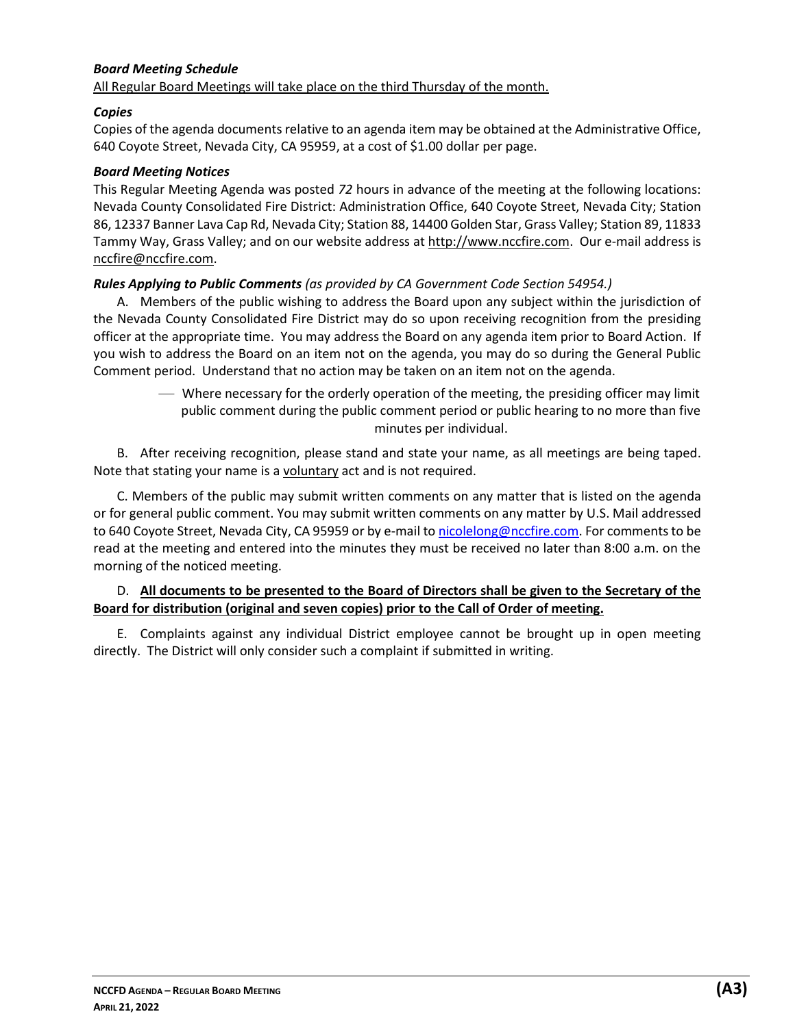#### *Board Meeting Schedule* All Regular Board Meetings will take place on the third Thursday of the month.

## *Copies*

Copies of the agenda documents relative to an agenda item may be obtained at the Administrative Office, 640 Coyote Street, Nevada City, CA 95959, at a cost of \$1.00 dollar per page.

## *Board Meeting Notices*

This Regular Meeting Agenda was posted *72* hours in advance of the meeting at the following locations: Nevada County Consolidated Fire District: Administration Office, 640 Coyote Street, Nevada City; Station 86, 12337 Banner Lava Cap Rd, Nevada City; Station 88, 14400 Golden Star, Grass Valley; Station 89, 11833 Tammy Way, Grass Valley; and on our website address at http://www.nccfire.com. Our e-mail address is [nccfire@nccfire.com.](mailto:nccfire@nccn.net)

## *Rules Applying to Public Comments (as provided by CA Government Code Section 54954.)*

A. Members of the public wishing to address the Board upon any subject within the jurisdiction of the Nevada County Consolidated Fire District may do so upon receiving recognition from the presiding officer at the appropriate time. You may address the Board on any agenda item prior to Board Action. If you wish to address the Board on an item not on the agenda, you may do so during the General Public Comment period. Understand that no action may be taken on an item not on the agenda.

> — Where necessary for the orderly operation of the meeting, the presiding officer may limit public comment during the public comment period or public hearing to no more than five minutes per individual.

B. After receiving recognition, please stand and state your name, as all meetings are being taped. Note that stating your name is a voluntary act and is not required.

C. Members of the public may submit written comments on any matter that is listed on the agenda or for general public comment. You may submit written comments on any matter by U.S. Mail addressed to 640 Coyote Street, Nevada City, CA 95959 or by e-mail t[o nicolelong@nccfire.com.](mailto:nicolelong@nccfire.com) For comments to be read at the meeting and entered into the minutes they must be received no later than 8:00 a.m. on the morning of the noticed meeting.

## D. **All documents to be presented to the Board of Directors shall be given to the Secretary of the Board for distribution (original and seven copies) prior to the Call of Order of meeting.**

E. Complaints against any individual District employee cannot be brought up in open meeting directly. The District will only consider such a complaint if submitted in writing.